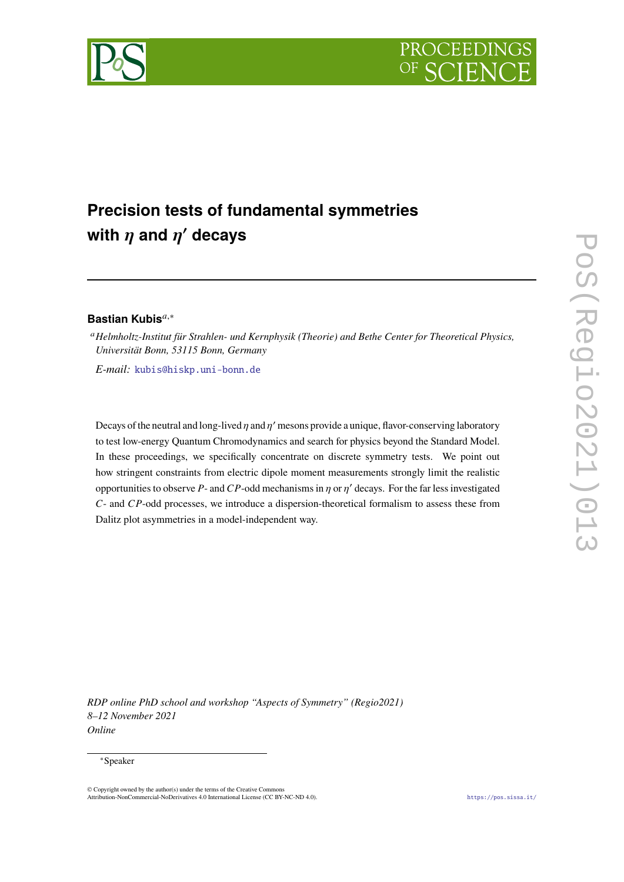



# **Precision tests of fundamental symmetries** with  $\eta$  and  $\eta'$  decays

# **Bastian Kubis**<sup>a,\*</sup>

*Helmholtz-Institut für Strahlen- und Kernphysik (Theorie) and Bethe Center for Theoretical Physics, Universität Bonn, 53115 Bonn, Germany*

*E-mail:* [kubis@hiskp.uni-bonn.de](mailto:kubis@hiskp.uni-bonn.de)

Decays of the neutral and long-lived  $\eta$  and  $\eta'$  mesons provide a unique, flavor-conserving laboratory to test low-energy Quantum Chromodynamics and search for physics beyond the Standard Model. In these proceedings, we specifically concentrate on discrete symmetry tests. We point out how stringent constraints from electric dipole moment measurements strongly limit the realistic opportunities to observe P- and CP-odd mechanisms in  $\eta$  or  $\eta'$  decays. For the far less investigated  $C$ - and  $CP$ -odd processes, we introduce a dispersion-theoretical formalism to assess these from Dalitz plot asymmetries in a model-independent way.

*RDP online PhD school and workshop "Aspects of Symmetry" (Regio2021) 8–12 November 2021 Online*

#### ∗Speaker

<sup>©</sup> Copyright owned by the author(s) under the terms of the Creative Commons Attribution-NonCommercial-NoDerivatives 4.0 International License (CC BY-NC-ND 4.0). <https://pos.sissa.it/>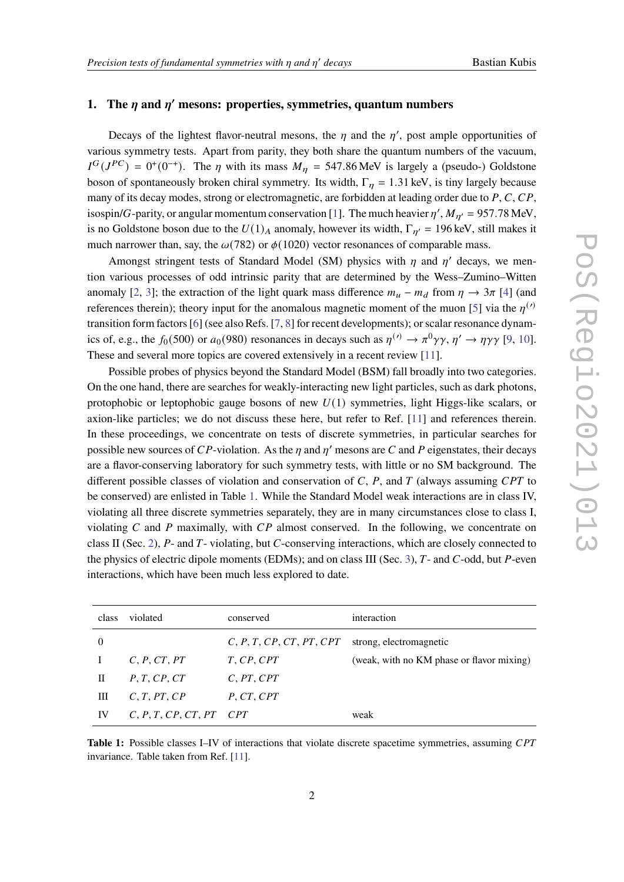# 1. The  $\eta$  and  $\eta'$  mesons: properties, symmetries, quantum numbers

Decays of the lightest flavor-neutral mesons, the *n* and the *n'*, post ample opportunities of various symmetry tests. Apart from parity, they both share the quantum numbers of the vacuum,  $I^G(J^{PC}) = 0^+(0^{-+})$ . The  $\eta$  with its mass  $M_{\eta} = 547.86$  MeV is largely a (pseudo-) Goldstone boson of spontaneously broken chiral symmetry. Its width,  $\Gamma_n = 1.31$  keV, is tiny largely because many of its decay modes, strong or electromagnetic, are forbidden at leading order due to  $P, C, CP$ , isospin/G-parity, or angular momentum conservation [\[1\]](#page-6-0). The much heavier  $\eta'$ ,  $M_{\eta'} = 957.78$  MeV, is no Goldstone boson due to the  $U(1)_A$  anomaly, however its width,  $\Gamma_{\eta'} = 196$  keV, still makes it much narrower than, say, the  $\omega(782)$  or  $\phi(1020)$  vector resonances of comparable mass.

Amongst stringent tests of Standard Model (SM) physics with  $n$  and  $n'$  decays, we mention various processes of odd intrinsic parity that are determined by the Wess–Zumino–Witten anomaly [\[2,](#page-6-1) [3\]](#page-6-2); the extraction of the light quark mass difference  $m_{\mu} - m_{d}$  from  $\eta \to 3\pi$  [\[4\]](#page-6-3) (and references therein); theory input for the anomalous magnetic moment of the muon [\[5\]](#page-7-0) via the  $n^{(\prime)}$ transition form factors [\[6\]](#page-7-1) (see also Refs. [\[7,](#page-7-2) [8\]](#page-7-3) for recent developments); or scalar resonance dynamics of, e.g., the  $f_0(500)$  or  $a_0(980)$  resonances in decays such as  $\eta^{(\prime)} \to \pi^0 \gamma \gamma$ ,  $\eta' \to \eta \gamma \gamma$  [\[9,](#page-7-4) [10\]](#page-7-5). These and several more topics are covered extensively in a recent review [\[11\]](#page-7-6).

Possible probes of physics beyond the Standard Model (BSM) fall broadly into two categories. On the one hand, there are searches for weakly-interacting new light particles, such as dark photons, protophobic or leptophobic gauge bosons of new  $U(1)$  symmetries, light Higgs-like scalars, or axion-like particles; we do not discuss these here, but refer to Ref. [\[11\]](#page-7-6) and references therein. In these proceedings, we concentrate on tests of discrete symmetries, in particular searches for possible new sources of CP-violation. As the *n* and *n'* mesons are C and P eigenstates, their decays are a flavor-conserving laboratory for such symmetry tests, with little or no SM background. The different possible classes of violation and conservation of  $C$ ,  $P$ , and  $T$  (always assuming  $CPT$  to be conserved) are enlisted in Table [1.](#page-1-0) While the Standard Model weak interactions are in class IV, violating all three discrete symmetries separately, they are in many circumstances close to class I, violating  $C$  and  $P$  maximally, with  $CP$  almost conserved. In the following, we concentrate on class II (Sec. [2\)](#page-2-0),  $P$ - and  $T$ - violating, but  $C$ -conserving interactions, which are closely connected to the physics of electric dipole moments (EDMs); and on class III (Sec. [3\)](#page-4-0),  $T$ - and  $C$ -odd, but  $P$ -even interactions, which have been much less explored to date.

<span id="page-1-0"></span>

| class    | violated            | conserved                | interaction                               |
|----------|---------------------|--------------------------|-------------------------------------------|
| $\Omega$ |                     | C, P, T, CP, CT, PT, CPT | strong, electromagnetic                   |
|          | C, P, CT, PT        | T, CP, CPT               | (weak, with no KM phase or flavor mixing) |
| Н        | P, T, CP, CT        | C, PT, CPT               |                                           |
| Ш        | C, T, PT, CP        | P, CT, CPT               |                                           |
| IV       | C, P, T, CP, CT, PT | CPT                      | weak                                      |

**Table 1:** Possible classes I–IV of interactions that violate discrete spacetime symmetries, assuming CPT invariance. Table taken from Ref. [\[11\]](#page-7-6).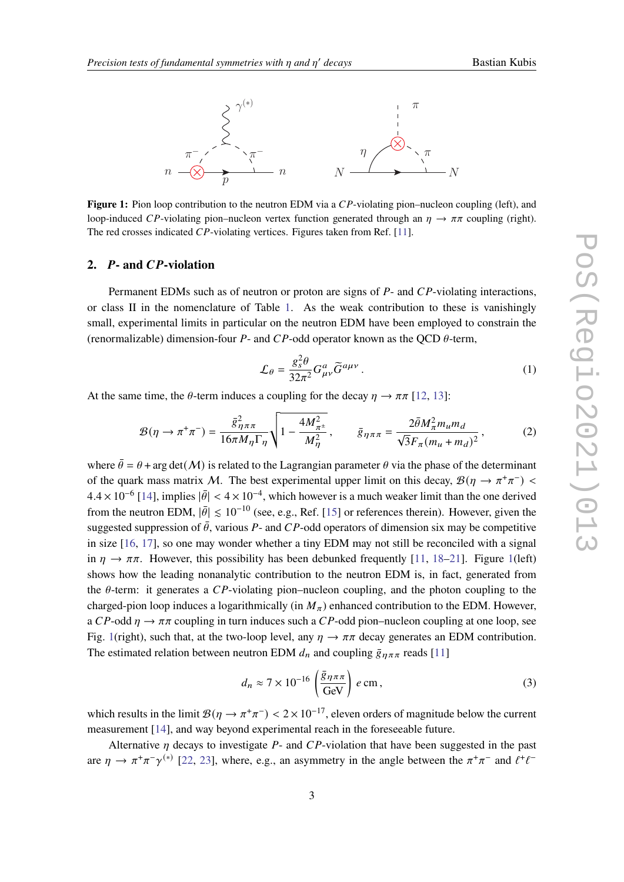<span id="page-2-1"></span>

**Figure 1:** Pion loop contribution to the neutron EDM via a CP-violating pion–nucleon coupling (left), and loop-induced CP-violating pion–nucleon vertex function generated through an  $\eta \to \pi \pi$  coupling (right). The red crosses indicated  $CP$ -violating vertices. Figures taken from Ref. [\[11\]](#page-7-6).

# <span id="page-2-0"></span>2. **P**- and *CP*-violation

Permanent EDMs such as of neutron or proton are signs of  $P$ - and  $CP$ -violating interactions, or class II in the nomenclature of Table [1.](#page-1-0) As the weak contribution to these is vanishingly small, experimental limits in particular on the neutron EDM have been employed to constrain the (renormalizable) dimension-four P- and CP-odd operator known as the OCD  $\theta$ -term,

$$
\mathcal{L}_{\theta} = \frac{g_s^2 \theta}{32\pi^2} G_{\mu\nu}^a \widetilde{G}^{a\mu\nu} \,. \tag{1}
$$

At the same time, the  $\theta$ -term induces a coupling for the decay  $\eta \to \pi \pi$  [\[12,](#page-7-7) [13\]](#page-7-8):

$$
\mathcal{B}(\eta \to \pi^+ \pi^-) = \frac{\bar{g}_{\eta \pi \pi}^2}{16\pi M_{\eta} \Gamma_{\eta}} \sqrt{1 - \frac{4M_{\pi^{\pm}}^2}{M_{\eta}^2}}, \qquad \bar{g}_{\eta \pi \pi} = \frac{2\bar{\theta}M_{\pi}^2 m_u m_d}{\sqrt{3}F_{\pi}(m_u + m_d)^2},
$$
(2)

where  $\bar{\theta} = \theta + \arg \det(\mathcal{M})$  is related to the Lagrangian parameter  $\theta$  via the phase of the determinant of the quark mass matrix M. The best experimental upper limit on this decay,  $\mathcal{B}(\eta \to \pi^+\pi^-)$  $4.4 \times 10^{-6}$  [\[14\]](#page-7-9), implies  $|\bar{\theta}| < 4 \times 10^{-4}$ , which however is a much weaker limit than the one derived from the neutron EDM,  $|\bar{\theta}| \leq 10^{-10}$  (see, e.g., Ref. [\[15\]](#page-7-10) or references therein). However, given the suggested suppression of  $\bar{\theta}$ , various P- and CP-odd operators of dimension six may be competitive in size [\[16,](#page-7-11) [17\]](#page-7-12), so one may wonder whether a tiny EDM may not still be reconciled with a signal in  $\eta \to \pi \pi$ . However, this possibility has been debunked frequently [\[11,](#page-7-6) [18–](#page-7-13)[21\]](#page-8-0). Figure [1\(](#page-2-1)left) shows how the leading nonanalytic contribution to the neutron EDM is, in fact, generated from the  $\theta$ -term: it generates a CP-violating pion–nucleon coupling, and the photon coupling to the charged-pion loop induces a logarithmically (in  $M_\pi$ ) enhanced contribution to the EDM. However, a  $CP$ -odd  $\eta \rightarrow \pi \pi$  coupling in turn induces such a CP-odd pion–nucleon coupling at one loop, see Fig. [1\(](#page-2-1)right), such that, at the two-loop level, any  $\eta \to \pi \pi$  decay generates an EDM contribution. The estimated relation between neutron EDM  $d_n$  and coupling  $\bar{g}_{\eta\pi\pi}$  reads [\[11\]](#page-7-6)

$$
d_n \approx 7 \times 10^{-16} \left( \frac{\bar{g}_{\eta \pi \pi}}{\text{GeV}} \right) e \text{ cm},\tag{3}
$$

which results in the limit  $\mathcal{B}(\eta \to \pi^+\pi^-) < 2 \times 10^{-17}$ , eleven orders of magnitude below the current measurement [\[14\]](#page-7-9), and way beyond experimental reach in the foreseeable future.

Alternative  $\eta$  decays to investigate  $P$ - and  $CP$ -violation that have been suggested in the past are  $\eta \to \pi^+\pi^-\gamma^{(*)}$  [\[22,](#page-8-1) [23\]](#page-8-2), where, e.g., an asymmetry in the angle between the  $\pi^+\pi^-$  and  $\ell^+\ell^-$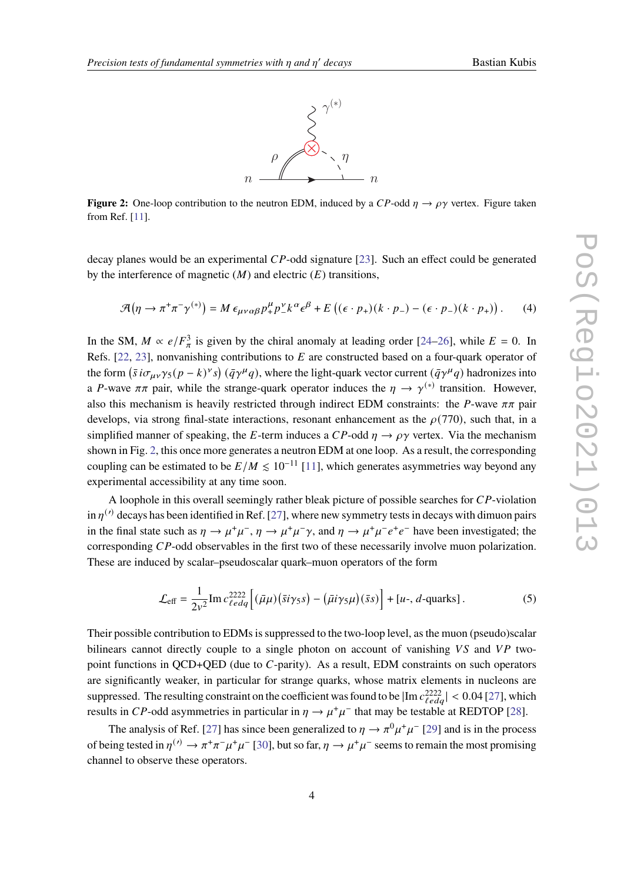

<span id="page-3-0"></span>**Figure 2:** One-loop contribution to the neutron EDM, induced by a  $CP$ -odd  $\eta \rightarrow \rho \gamma$  vertex. Figure taken from Ref. [\[11\]](#page-7-6).

decay planes would be an experimental  $CP$ -odd signature [\[23\]](#page-8-2). Such an effect could be generated by the interference of magnetic  $(M)$  and electric  $(E)$  transitions,

$$
\mathcal{A}(\eta \to \pi^+ \pi^- \gamma^{(*)}) = M \epsilon_{\mu\nu\alpha\beta} p_+^{\mu} p_-^{\nu} k^{\alpha} \epsilon^{\beta} + E \left( (\epsilon \cdot p_+)(k \cdot p_-) - (\epsilon \cdot p_-)(k \cdot p_+) \right). \tag{4}
$$

In the SM,  $M \propto e/F_{\pi}^{3}$  is given by the chiral anomaly at leading order [\[24–](#page-8-3)[26\]](#page-8-4), while  $E = 0$ . In Refs. [\[22,](#page-8-1) [23\]](#page-8-2), nonvanishing contributions to  $E$  are constructed based on a four-quark operator of the form  $(\bar{s} i \sigma_{\mu\nu} \gamma_5 (p-k)^{\nu} s) (\bar{q} \gamma^{\mu} q)$ , where the light-quark vector current  $(\bar{q} \gamma^{\mu} q)$  hadronizes into a P-wave  $\pi\pi$  pair, while the strange-quark operator induces the  $\eta \to \gamma^{(*)}$  transition. However, also this mechanism is heavily restricted through indirect EDM constraints: the P-wave  $\pi\pi$  pair develops, via strong final-state interactions, resonant enhancement as the  $\rho(770)$ , such that, in a simplified manner of speaking, the E-term induces a  $CP$ -odd  $\eta \rightarrow \rho \gamma$  vertex. Via the mechanism shown in Fig. [2,](#page-3-0) this once more generates a neutron EDM at one loop. As a result, the corresponding coupling can be estimated to be  $E/M \le 10^{-11}$  [\[11\]](#page-7-6), which generates asymmetries way beyond any experimental accessibility at any time soon.

A loophole in this overall seemingly rather bleak picture of possible searches for  $CP$ -violation in  $n^{(\prime)}$  decays has been identified in Ref. [\[27\]](#page-8-5), where new symmetry tests in decays with dimuon pairs in the final state such as  $\eta \to \mu^+\mu^-$ ,  $\eta \to \mu^+\mu^-\gamma$ , and  $\eta \to \mu^+\mu^-e^+e^-$  have been investigated; the corresponding  $CP$ -odd observables in the first two of these necessarily involve muon polarization. These are induced by scalar–pseudoscalar quark–muon operators of the form

$$
\mathcal{L}_{\text{eff}} = \frac{1}{2v^2} \text{Im} \, c_{\ell edq}^{2222} \left[ (\bar{\mu}\mu)(\bar{s}i\gamma_5 s) - (\bar{\mu}i\gamma_5 \mu)(\bar{s}s) \right] + [u-, d\text{-quarks}]. \tag{5}
$$

Their possible contribution to EDMs is suppressed to the two-loop level, as the muon (pseudo)scalar bilinears cannot directly couple to a single photon on account of vanishing  $VS$  and  $VP$  twopoint functions in  $QCD+QED$  (due to  $C$ -parity). As a result, EDM constraints on such operators are significantly weaker, in particular for strange quarks, whose matrix elements in nucleons are suppressed. The resulting constraint on the coefficient was found to be  $|\text{Im }c_{\ell e da}^{2222}| < 0.04$  [\[27\]](#page-8-5), which results in CP-odd asymmetries in particular in  $\eta \to \mu^+\mu^-$  that may be testable at REDTOP [\[28\]](#page-8-6).

The analysis of Ref. [\[27\]](#page-8-5) has since been generalized to  $\eta \to \pi^0 \mu^+ \mu^-$  [\[29\]](#page-8-7) and is in the process of being tested in  $\eta^{(\prime)} \to \pi^+\pi^-\mu^+\mu^-$  [\[30\]](#page-8-8), but so far,  $\eta \to \mu^+\mu^-$  seems to remain the most promising channel to observe these operators.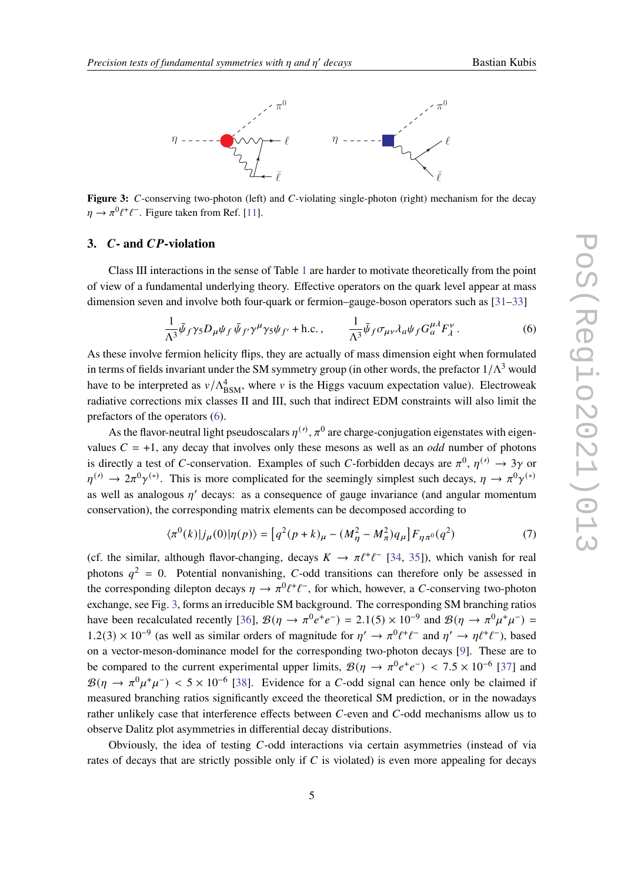<span id="page-4-2"></span>

Figure 3: C-conserving two-photon (left) and C-violating single-photon (right) mechanism for the decay  $\eta \to \pi^0 \ell^+ \ell^-$ . Figure taken from Ref. [\[11\]](#page-7-6).

#### <span id="page-4-0"></span>**3.** *C***-** and *CP*-violation

Class III interactions in the sense of Table [1](#page-1-0) are harder to motivate theoretically from the point of view of a fundamental underlying theory. Effective operators on the quark level appear at mass dimension seven and involve both four-quark or fermion–gauge-boson operators such as [\[31](#page-8-9)[–33\]](#page-8-10)

<span id="page-4-1"></span>
$$
\frac{1}{\Lambda^3} \bar{\psi}_f \gamma_5 D_\mu \psi_f \bar{\psi}_{f'} \gamma^\mu \gamma_5 \psi_{f'} + \text{h.c.}, \qquad \frac{1}{\Lambda^3} \bar{\psi}_f \sigma_{\mu\nu} \lambda_a \psi_f G_a^{\mu\lambda} F_\lambda^\nu. \tag{6}
$$

As these involve fermion helicity flips, they are actually of mass dimension eight when formulated in terms of fields invariant under the SM symmetry group (in other words, the prefactor  $1/\Lambda^3$  would have to be interpreted as  $v/\Lambda_{\text{BSM}}^4$ , where v is the Higgs vacuum expectation value). Electroweak radiative corrections mix classes II and III, such that indirect EDM constraints will also limit the prefactors of the operators [\(6\)](#page-4-1).

As the flavor-neutral light pseudoscalars  $n^{(\prime)}$ ,  $\pi^0$  are charge-conjugation eigenstates with eigenvalues  $C = +1$ , any decay that involves only these mesons as well as an *odd* number of photons is directly a test of C-conservation. Examples of such C-forbidden decays are  $\pi^0$ ,  $\eta^{(\prime)} \to 3\gamma$  or  $\eta^{(\prime)} \to 2\pi^0 \gamma^{(*)}$ . This is more complicated for the seemingly simplest such decays,  $\eta \to \pi^0 \gamma^{(*)}$ . as well as analogous  $n'$  decays: as a consequence of gauge invariance (and angular momentum conservation), the corresponding matrix elements can be decomposed according to

$$
\langle \pi^{0}(k)|j_{\mu}(0)|\eta(p)\rangle = \left[q^{2}(p+k)_{\mu} - (M_{\eta}^{2} - M_{\pi}^{2})q_{\mu}\right]F_{\eta\pi^{0}}(q^{2})\tag{7}
$$

(cf. the similar, although flavor-changing, decays  $K \to \pi \ell^+ \ell^-$  [\[34,](#page-8-11) [35\]](#page-8-12)), which vanish for real photons  $q^2 = 0$ . Potential nonvanishing, C-odd transitions can therefore only be assessed in the corresponding dilepton decays  $\eta \to \pi^0 \ell^+ \ell^-$ , for which, however, a C-conserving two-photon exchange, see Fig. [3,](#page-4-2) forms an irreducible SM background. The corresponding SM branching ratios have been recalculated recently [\[36\]](#page-8-13),  $\mathcal{B}(\eta \to \pi^0 e^+ e^-) = 2.1(5) \times 10^{-9}$  and  $\mathcal{B}(\eta \to \pi^0 \mu^+ \mu^-) =$ 1.2(3) × 10<sup>-9</sup> (as well as similar orders of magnitude for  $η'$  →  $π<sup>0</sup>ℓ<sup>+</sup>ℓ<sup>-</sup>$  and  $η'$  →  $ηℓ<sup>+</sup>ℓ<sup>-</sup>$ ), based on a vector-meson-dominance model for the corresponding two-photon decays [\[9\]](#page-7-4). These are to be compared to the current experimental upper limits,  $\mathcal{B}(\eta \to \pi^0 e^+ e^-) < 7.5 \times 10^{-6}$  [\[37\]](#page-9-0) and  $\mathcal{B}(\eta \to \pi^0 \mu^+ \mu^-)$  < 5 × 10<sup>-6</sup> [\[38\]](#page-9-1). Evidence for a C-odd signal can hence only be claimed if measured branching ratios significantly exceed the theoretical SM prediction, or in the nowadays rather unlikely case that interference effects between  $C$ -even and  $C$ -odd mechanisms allow us to observe Dalitz plot asymmetries in differential decay distributions.

Obviously, the idea of testing  $C$ -odd interactions via certain asymmetries (instead of via rates of decays that are strictly possible only if  $C$  is violated) is even more appealing for decays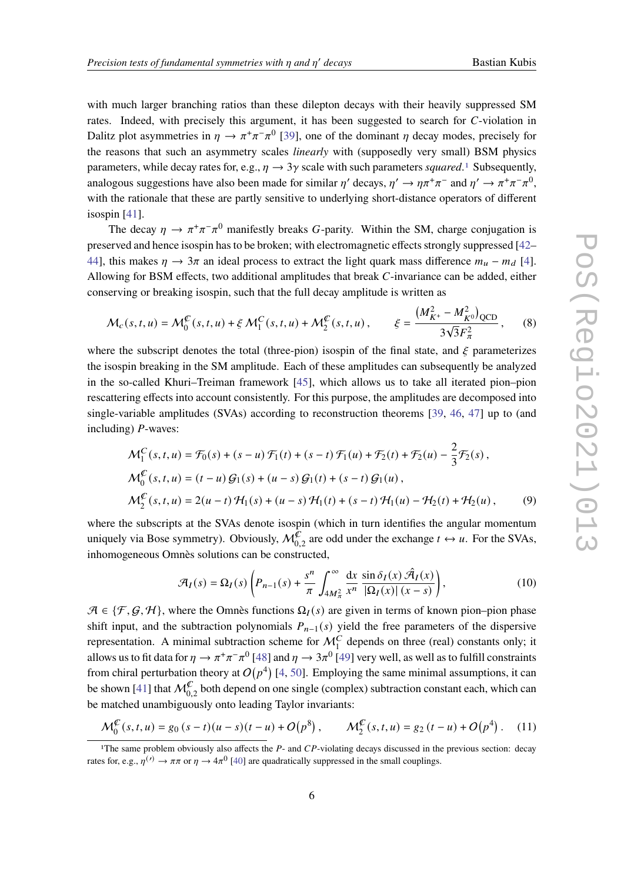with much larger branching ratios than these dilepton decays with their heavily suppressed SM rates. Indeed, with precisely this argument, it has been suggested to search for C-violation in Dalitz plot asymmetries in  $\eta \to \pi^+\pi^-\pi^0$  [\[39\]](#page-9-2), one of the dominant  $\eta$  decay modes, precisely for the reasons that such an asymmetry scales *linearly* with (supposedly very small) BSM physics parameters, while decay rates for, e.g.,  $\eta \rightarrow 3\gamma$  scale with such parameters *squared*.<sup>[1](#page-5-0)</sup> Subsequently, analogous suggestions have also been made for similar  $\eta'$  decays,  $\eta' \to \eta \pi^+ \pi^-$  and  $\eta' \to \pi^+ \pi^- \pi^0$ , with the rationale that these are partly sensitive to underlying short-distance operators of different isospin [\[41\]](#page-9-3).

The decay  $\eta \to \pi^+\pi^-\pi^0$  manifestly breaks G-parity. Within the SM, charge conjugation is preserved and hence isospin has to be broken; with electromagnetic effects strongly suppressed [\[42–](#page-9-4) [44\]](#page-9-5), this makes  $\eta \to 3\pi$  an ideal process to extract the light quark mass difference  $m_u - m_d$  [\[4\]](#page-6-3). Allowing for BSM effects, two additional amplitudes that break  $C$ -invariance can be added, either conserving or breaking isospin, such that the full decay amplitude is written as

$$
\mathcal{M}_c(s, t, u) = \mathcal{M}_0^{\mathcal{L}}(s, t, u) + \xi \mathcal{M}_1^C(s, t, u) + \mathcal{M}_2^{\mathcal{L}}(s, t, u), \qquad \xi = \frac{(M_{K^+}^2 - M_{K^0}^2)_{QCD}}{3\sqrt{3}F_{\pi}^2},
$$
(8)

where the subscript denotes the total (three-pion) isospin of the final state, and  $\zeta$  parameterizes the isospin breaking in the SM amplitude. Each of these amplitudes can subsequently be analyzed in the so-called Khuri–Treiman framework [\[45\]](#page-9-6), which allows us to take all iterated pion–pion rescattering effects into account consistently. For this purpose, the amplitudes are decomposed into single-variable amplitudes (SVAs) according to reconstruction theorems [\[39,](#page-9-2) [46,](#page-9-7) [47\]](#page-9-8) up to (and including)  $P$ -waves:

$$
\mathcal{M}_1^C(s, t, u) = \mathcal{F}_0(s) + (s - u)\mathcal{F}_1(t) + (s - t)\mathcal{F}_1(u) + \mathcal{F}_2(t) + \mathcal{F}_2(u) - \frac{2}{3}\mathcal{F}_2(s),
$$
  
\n
$$
\mathcal{M}_0^C(s, t, u) = (t - u)\mathcal{G}_1(s) + (u - s)\mathcal{G}_1(t) + (s - t)\mathcal{G}_1(u),
$$
  
\n
$$
\mathcal{M}_2^C(s, t, u) = 2(u - t)\mathcal{H}_1(s) + (u - s)\mathcal{H}_1(t) + (s - t)\mathcal{H}_1(u) - \mathcal{H}_2(t) + \mathcal{H}_2(u),
$$
\n(9)

where the subscripts at the SVAs denote isospin (which in turn identifies the angular momentum uniquely via Bose symmetry). Obviously,  $\mathcal{M}_{0,2}^{\overline{\mathcal{C}}}$  are odd under the exchange  $t \leftrightarrow u$ . For the SVAs, inhomogeneous Omnès solutions can be constructed,

$$
\mathcal{A}_I(s) = \Omega_I(s) \left( P_{n-1}(s) + \frac{s^n}{\pi} \int_{4M_\pi^2}^{\infty} \frac{\mathrm{d}x}{x^n} \frac{\sin \delta_I(x) \hat{\mathcal{A}}_I(x)}{|\Omega_I(x)| (x - s)} \right),\tag{10}
$$

 $\mathcal{A} \in \{\mathcal{F}, \mathcal{G}, \mathcal{H}\}\$ , where the Omnès functions  $\Omega_I(s)$  are given in terms of known pion–pion phase shift input, and the subtraction polynomials  $P_{n-1}(s)$  yield the free parameters of the dispersive representation. A minimal subtraction scheme for  $M_1^C$  depends on three (real) constants only; it allows us to fit data for  $\eta \to \pi^+\pi^-\pi^0$  [\[48\]](#page-9-9) and  $\eta \to 3\pi^0$  [\[49\]](#page-9-10) very well, as well as to fulfill constraints from chiral perturbation theory at  $O(p^4)$  [\[4,](#page-6-3) [50\]](#page-9-11). Employing the same minimal assumptions, it can be shown [\[41\]](#page-9-3) that  $\mathcal{M}_{0,2}^{\mathcal{C}}$  both depend on one single (complex) subtraction constant each, which can be matched unambiguously onto leading Taylor invariants:

$$
\mathcal{M}_0^{\mathcal{L}}(s,t,u) = g_0(s-t)(u-s)(t-u) + O(p^8), \qquad \mathcal{M}_2^{\mathcal{L}}(s,t,u) = g_2(t-u) + O(p^4).
$$
 (11)

<span id="page-5-0"></span><sup>&</sup>lt;sup>1</sup>The same problem obviously also affects the  $P$ - and  $CP$ -violating decays discussed in the previous section: decay rates for, e.g.,  $\eta^{(\prime)} \to \pi \pi$  or  $\eta \to 4\pi^0$  [\[40\]](#page-9-12) are quadratically suppressed in the small couplings.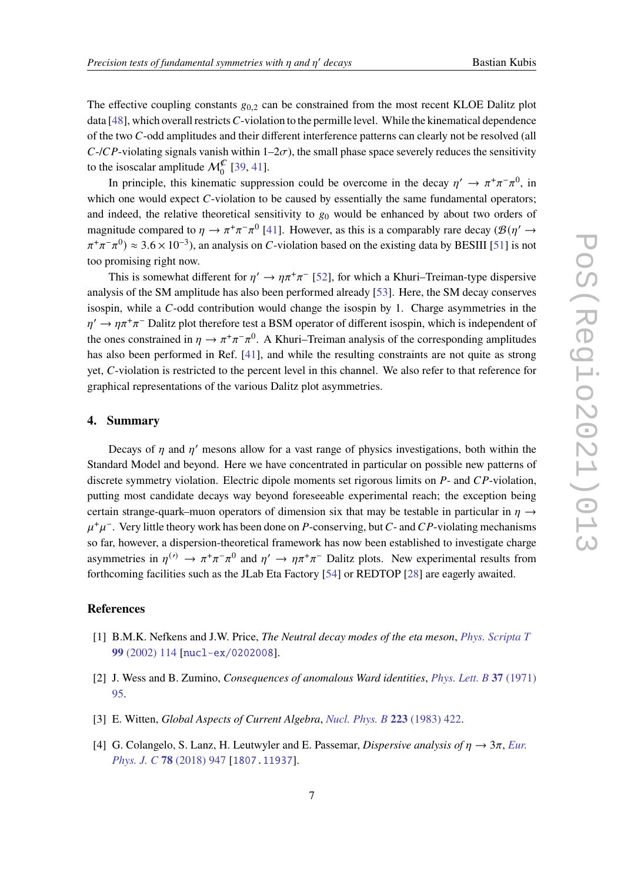The effective coupling constants  $g_{0,2}$  can be constrained from the most recent KLOE Dalitz plot data  $[48]$ , which overall restricts C-violation to the permille level. While the kinematical dependence of the two C-odd amplitudes and their different interference patterns can clearly not be resolved (all  $C$ -/ $CP$ -violating signals vanish within  $1-2\sigma$ ), the small phase space severely reduces the sensitivity to the isoscalar amplitude  $\mathcal{M}_0^{\mathcal{C}}$  [\[39,](#page-9-2) [41\]](#page-9-3).

In principle, this kinematic suppression could be overcome in the decay  $\eta' \to \pi^+\pi^-\pi^0$ , in which one would expect  $C$ -violation to be caused by essentially the same fundamental operators; and indeed, the relative theoretical sensitivity to  $g_0$  would be enhanced by about two orders of magnitude compared to  $\eta \to \pi^+\pi^-\pi^0$  [\[41\]](#page-9-3). However, as this is a comparably rare decay ( $\mathcal{B}(\eta' \to$  $(\pi^+\pi^-\pi^0) \approx 3.6 \times 10^{-3}$ , an analysis on C-violation based on the existing data by BESIII [\[51\]](#page-9-13) is not too promising right now.

This is somewhat different for  $\eta' \to \eta \pi^+ \pi^-$  [\[52\]](#page-9-14), for which a Khuri–Treiman-type dispersive analysis of the SM amplitude has also been performed already [\[53\]](#page-9-15). Here, the SM decay conserves isospin, while a  $C$ -odd contribution would change the isospin by 1. Charge asymmetries in the  $\eta' \to \eta \pi^+ \pi^-$  Dalitz plot therefore test a BSM operator of different isospin, which is independent of the ones constrained in  $\eta \to \pi^+\pi^-\pi^0$ . A Khuri–Treiman analysis of the corresponding amplitudes has also been performed in Ref. [\[41\]](#page-9-3), and while the resulting constraints are not quite as strong yet, C-violation is restricted to the percent level in this channel. We also refer to that reference for graphical representations of the various Dalitz plot asymmetries.

## **4. Summary**

Decays of *n* and *n'* mesons allow for a vast range of physics investigations, both within the Standard Model and beyond. Here we have concentrated in particular on possible new patterns of discrete symmetry violation. Electric dipole moments set rigorous limits on  $P$ - and  $\mathbb{CP}$ -violation, putting most candidate decays way beyond foreseeable experimental reach; the exception being certain strange-quark–muon operators of dimension six that may be testable in particular in  $\eta \rightarrow$  $u^+u^-$ . Very little theory work has been done on P-conserving, but C- and CP-violating mechanisms so far, however, a dispersion-theoretical framework has now been established to investigate charge asymmetries in  $\eta^{(\prime)} \to \pi^+\pi^-\pi^0$  and  $\eta' \to \eta\pi^+\pi^-$  Dalitz plots. New experimental results from forthcoming facilities such as the JLab Eta Factory [\[54\]](#page-9-16) or REDTOP [\[28\]](#page-8-6) are eagerly awaited.

## **References**

- <span id="page-6-0"></span>[1] B.M.K. Nefkens and J.W. Price, *The Neutral decay modes of the eta meson*, *[Phys. Scripta T](https://doi.org/10.1238/Physica.Topical.099a00114)* **99** [\(2002\) 114](https://doi.org/10.1238/Physica.Topical.099a00114) [[nucl-ex/0202008](https://arxiv.org/abs/nucl-ex/0202008)].
- <span id="page-6-1"></span>[2] J. Wess and B. Zumino, *Consequences of anomalous Ward identities*, *[Phys. Lett. B](https://doi.org/10.1016/0370-2693(71)90582-X)* **37** (1971) [95.](https://doi.org/10.1016/0370-2693(71)90582-X)
- <span id="page-6-2"></span>[3] E. Witten, *Global Aspects of Current Algebra*, *[Nucl. Phys. B](https://doi.org/10.1016/0550-3213(83)90063-9)* **223** (1983) 422.
- <span id="page-6-3"></span>[4] G. Colangelo, S. Lanz, H. Leutwyler and E. Passemar, *Dispersive analysis of*  $\eta \to 3\pi$ , *[Eur.](https://doi.org/10.1140/epjc/s10052-018-6377-9) [Phys. J. C](https://doi.org/10.1140/epjc/s10052-018-6377-9)* **78** (2018) 947 [[1807.11937](https://arxiv.org/abs/1807.11937)].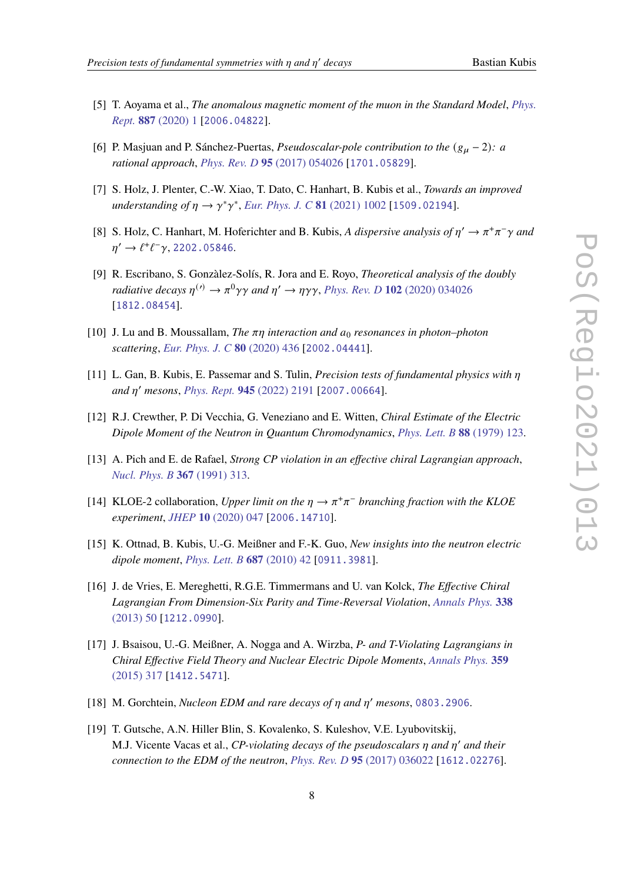- <span id="page-7-0"></span>[5] T. Aoyama et al., *The anomalous magnetic moment of the muon in the Standard Model*, *[Phys.](https://doi.org/10.1016/j.physrep.2020.07.006) Rept.* **887** [\(2020\) 1](https://doi.org/10.1016/j.physrep.2020.07.006) [[2006.04822](https://arxiv.org/abs/2006.04822)].
- <span id="page-7-1"></span>[6] P. Masjuan and P. Sánchez-Puertas, *Pseudoscalar-pole contribution to the*  $(g_{\mu} - 2)$ *: a rational approach*, *[Phys. Rev. D](https://doi.org/10.1103/PhysRevD.95.054026)* **95** (2017) 054026 [[1701.05829](https://arxiv.org/abs/1701.05829)].
- <span id="page-7-2"></span>[7] S. Holz, J. Plenter, C.-W. Xiao, T. Dato, C. Hanhart, B. Kubis et al., *Towards an improved*  $understanding of \eta \rightarrow \gamma^* \gamma^*$ , *[Eur. Phys. J. C](https://doi.org/10.1140/epjc/s10052-021-09661-0)* 81 (2021) 1002 [[1509.02194](https://arxiv.org/abs/1509.02194)].
- <span id="page-7-3"></span>[8] S. Holz, C. Hanhart, M. Hoferichter and B. Kubis, A dispersive analysis of  $\eta' \to \pi^+\pi^-\gamma$  and  $\eta' \to \ell^+ \ell^- \gamma$ , [2202.05846](https://arxiv.org/abs/2202.05846).
- <span id="page-7-4"></span>[9] R. Escribano, S. Gonzàlez-Solís, R. Jora and E. Royo, *Theoretical analysis of the doubly radiative decays*  $\eta^{(\prime)} \to \pi^0 \gamma \gamma$  and  $\eta' \to \eta \gamma \gamma$ , *Phys. Rev. D* **102** [\(2020\) 034026](https://doi.org/10.1103/PhysRevD.102.034026) [[1812.08454](https://arxiv.org/abs/1812.08454)].
- <span id="page-7-5"></span>[10] J. Lu and B. Moussallam, *The*  $\pi\eta$  interaction and  $a_0$  *resonances in photon–photon scattering*, *[Eur. Phys. J. C](https://doi.org/10.1140/epjc/s10052-020-7969-8)* **80** (2020) 436 [[2002.04441](https://arxiv.org/abs/2002.04441)].
- <span id="page-7-6"></span>[11] L. Gan, B. Kubis, E. Passemar and S. Tulin, *Precision tests of fundamental physics with and* ′ *mesons*, *[Phys. Rept.](https://doi.org/10.1016/j.physrep.2021.11.001)* **945** (2022) 2191 [[2007.00664](https://arxiv.org/abs/2007.00664)].
- <span id="page-7-7"></span>[12] R.J. Crewther, P. Di Vecchia, G. Veneziano and E. Witten, *Chiral Estimate of the Electric Dipole Moment of the Neutron in Quantum Chromodynamics*, *[Phys. Lett. B](https://doi.org/10.1016/0370-2693(79)90128-X)* **88** (1979) 123.
- <span id="page-7-8"></span>[13] A. Pich and E. de Rafael, *Strong CP violation in an effective chiral Lagrangian approach*, *[Nucl. Phys. B](https://doi.org/10.1016/0550-3213(91)90019-T)* **367** (1991) 313.
- <span id="page-7-9"></span>[14] KLOE-2 collaboration, *Upper limit on the*  $\eta \rightarrow \pi^+\pi^-$  *branching fraction with the KLOE experiment*, *JHEP* **10** [\(2020\) 047](https://doi.org/10.1007/JHEP10(2020)047) [[2006.14710](https://arxiv.org/abs/2006.14710)].
- <span id="page-7-10"></span>[15] K. Ottnad, B. Kubis, U.-G. Meißner and F.-K. Guo, *New insights into the neutron electric dipole moment*, *[Phys. Lett. B](https://doi.org/10.1016/j.physletb.2010.03.005)* **687** (2010) 42 [[0911.3981](https://arxiv.org/abs/0911.3981)].
- <span id="page-7-11"></span>[16] J. de Vries, E. Mereghetti, R.G.E. Timmermans and U. van Kolck, *The Effective Chiral Lagrangian From Dimension-Six Parity and Time-Reversal Violation*, *[Annals Phys.](https://doi.org/10.1016/j.aop.2013.05.022)* **338** [\(2013\) 50](https://doi.org/10.1016/j.aop.2013.05.022) [[1212.0990](https://arxiv.org/abs/1212.0990)].
- <span id="page-7-12"></span>[17] J. Bsaisou, U.-G. Meißner, A. Nogga and A. Wirzba, *P- and T-Violating Lagrangians in Chiral Effective Field Theory and Nuclear Electric Dipole Moments*, *[Annals Phys.](https://doi.org/10.1016/j.aop.2015.04.031)* **359** [\(2015\) 317](https://doi.org/10.1016/j.aop.2015.04.031) [[1412.5471](https://arxiv.org/abs/1412.5471)].
- <span id="page-7-13"></span>[18] M. Gorchtein, *Nucleon EDM and rare decays of*  $\eta$  and  $\eta'$  mesons, [0803.2906](https://arxiv.org/abs/0803.2906).
- [19] T. Gutsche, A.N. Hiller Blin, S. Kovalenko, S. Kuleshov, V.E. Lyubovitskij, M.J. Vicente Vacas et al., *CP-violating decays of the pseudoscalars*  $\eta$  and  $\eta'$  and their *connection to the EDM of the neutron*, *[Phys. Rev. D](https://doi.org/10.1103/PhysRevD.95.036022)* **95** (2017) 036022 [[1612.02276](https://arxiv.org/abs/1612.02276)].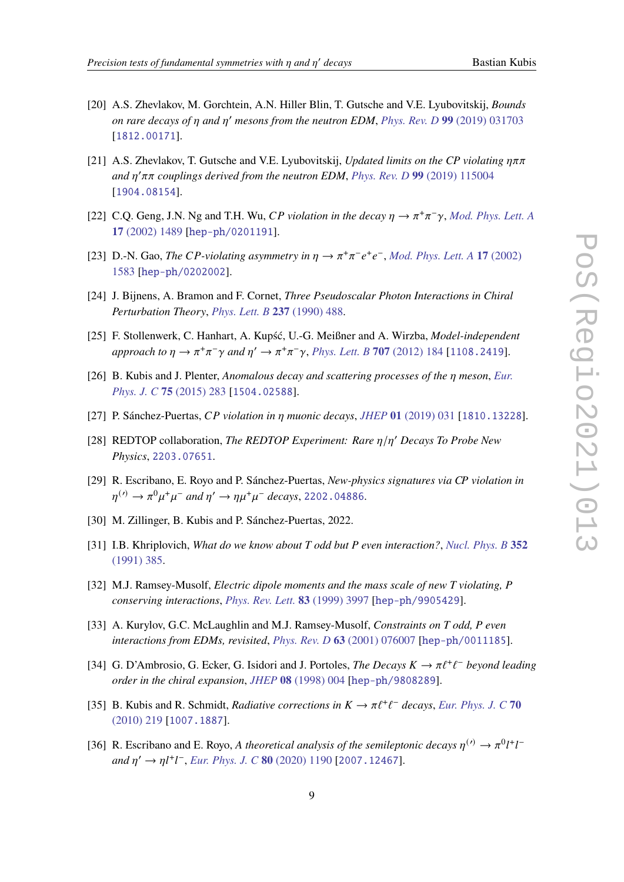- [20] A.S. Zhevlakov, M. Gorchtein, A.N. Hiller Blin, T. Gutsche and V.E. Lyubovitskij, *Bounds on rare decays of and* ′ *mesons from the neutron EDM*, *[Phys. Rev. D](https://doi.org/10.1103/PhysRevD.99.031703)* **99** (2019) 031703 [[1812.00171](https://arxiv.org/abs/1812.00171)].
- <span id="page-8-0"></span>[21] A.S. Zhevlakov, T. Gutsche and V.E. Lyubovitskij, *Updated limits on the CP violating*  $\eta \pi \pi$ and  $η'ππ$  couplings derived from the neutron *EDM*, *[Phys. Rev. D](https://doi.org/10.1103/PhysRevD.99.115004)* 99 (2019) 115004 [[1904.08154](https://arxiv.org/abs/1904.08154)].
- <span id="page-8-1"></span>[22] C.Q. Geng, J.N. Ng and T.H. Wu, CP violation in the decay  $\eta \to \pi^+ \pi^- \gamma$ , [Mod. Phys. Lett. A](https://doi.org/10.1142/S0217732302007697) **17** [\(2002\) 1489](https://doi.org/10.1142/S0217732302007697) [[hep-ph/0201191](https://arxiv.org/abs/hep-ph/0201191)].
- <span id="page-8-2"></span>[23] D.-N. Gao, *The CP-violating asymmetry in*  $\eta \to \pi^+\pi^-e^+e^-$ , *[Mod. Phys. Lett. A](https://doi.org/10.1142/S0217732302007739)* 17 (2002) [1583](https://doi.org/10.1142/S0217732302007739) [[hep-ph/0202002](https://arxiv.org/abs/hep-ph/0202002)].
- <span id="page-8-3"></span>[24] J. Bijnens, A. Bramon and F. Cornet, *Three Pseudoscalar Photon Interactions in Chiral Perturbation Theory*, *[Phys. Lett. B](https://doi.org/10.1016/0370-2693(90)91212-T)* **237** (1990) 488.
- [25] F. Stollenwerk, C. Hanhart, A. Kupść, U.-G. Meißner and A. Wirzba, *Model-independent*  $a$ *pproach to*  $\eta \to \pi^+\pi^-\gamma$  and  $\eta' \to \pi^+\pi^-\gamma$ , *[Phys. Lett. B](https://doi.org/10.1016/j.physletb.2011.12.008)* **707** (2012) 184 [[1108.2419](https://arxiv.org/abs/1108.2419)].
- <span id="page-8-4"></span>[26] B. Kubis and J. Plenter, *Anomalous decay and scattering processes of the meson*, *[Eur.](https://doi.org/10.1140/epjc/s10052-015-3495-5) [Phys. J. C](https://doi.org/10.1140/epjc/s10052-015-3495-5)* **75** (2015) 283 [[1504.02588](https://arxiv.org/abs/1504.02588)].
- <span id="page-8-5"></span>[27] P. Sánchez-Puertas, *CP* violation in  $\eta$  muonic decays, *JHEP* 01 [\(2019\) 031](https://doi.org/10.1007/JHEP01(2019)031) [[1810.13228](https://arxiv.org/abs/1810.13228)].
- <span id="page-8-6"></span>[28] REDTOP collaboration, *The REDTOP Experiment: Rare*  $\eta/\eta'$  Decays To Probe New *Physics*, [2203.07651](https://arxiv.org/abs/2203.07651).
- <span id="page-8-7"></span>[29] R. Escribano, E. Royo and P. Sánchez-Puertas, *New-physics signatures via violation in*  $\eta^{(\prime)} \rightarrow \pi^0 \mu^+ \mu^-$  and  $\eta' \rightarrow \eta \mu^+ \mu^-$  decays, [2202.04886](https://arxiv.org/abs/2202.04886).
- <span id="page-8-8"></span>[30] M. Zillinger, B. Kubis and P. Sánchez-Puertas, 2022.
- <span id="page-8-9"></span>[31] I.B. Khriplovich, *What do we know about T odd but P even interaction?*, *[Nucl. Phys. B](https://doi.org/10.1016/0550-3213(91)90448-7)* **352** [\(1991\) 385.](https://doi.org/10.1016/0550-3213(91)90448-7)
- [32] M.J. Ramsey-Musolf, *Electric dipole moments and the mass scale of new T violating, P conserving interactions*, *[Phys. Rev. Lett.](https://doi.org/10.1103/PhysRevLett.83.3997)* **83** (1999) 3997 [[hep-ph/9905429](https://arxiv.org/abs/hep-ph/9905429)].
- <span id="page-8-10"></span>[33] A. Kurylov, G.C. McLaughlin and M.J. Ramsey-Musolf, *Constraints on T odd, P even interactions from EDMs, revisited*, *[Phys. Rev. D](https://doi.org/10.1103/PhysRevD.63.076007)* **63** (2001) 076007 [[hep-ph/0011185](https://arxiv.org/abs/hep-ph/0011185)].
- <span id="page-8-11"></span>[34] G. D'Ambrosio, G. Ecker, G. Isidori and J. Portoles, *The Decays*  $K \to \pi \ell^+ \ell^-$  beyond leading *order in the chiral expansion*, *JHEP* **08** [\(1998\) 004](https://doi.org/10.1088/1126-6708/1998/08/004) [[hep-ph/9808289](https://arxiv.org/abs/hep-ph/9808289)].
- <span id="page-8-12"></span>[35] B. Kubis and R. Schmidt, *Radiative corrections in*  $K \to \pi \ell^+ \ell^-$  decays, *[Eur. Phys. J. C](https://doi.org/10.1140/epjc/s10052-010-1442-z)* 70 [\(2010\) 219](https://doi.org/10.1140/epjc/s10052-010-1442-z) [[1007.1887](https://arxiv.org/abs/1007.1887)].
- <span id="page-8-13"></span>[36] R. Escribano and E. Royo, *A theoretical analysis of the semileptonic decays*  $\eta^{(\prime)} \to \pi^0 l^+ l^ \int \frac{d\eta}{\theta} \to \eta l^+ l^-$ , *[Eur. Phys. J. C](https://doi.org/10.1140/epjc/s10052-020-08748-4)* **80** (2020) 1190 [[2007.12467](https://arxiv.org/abs/2007.12467)].